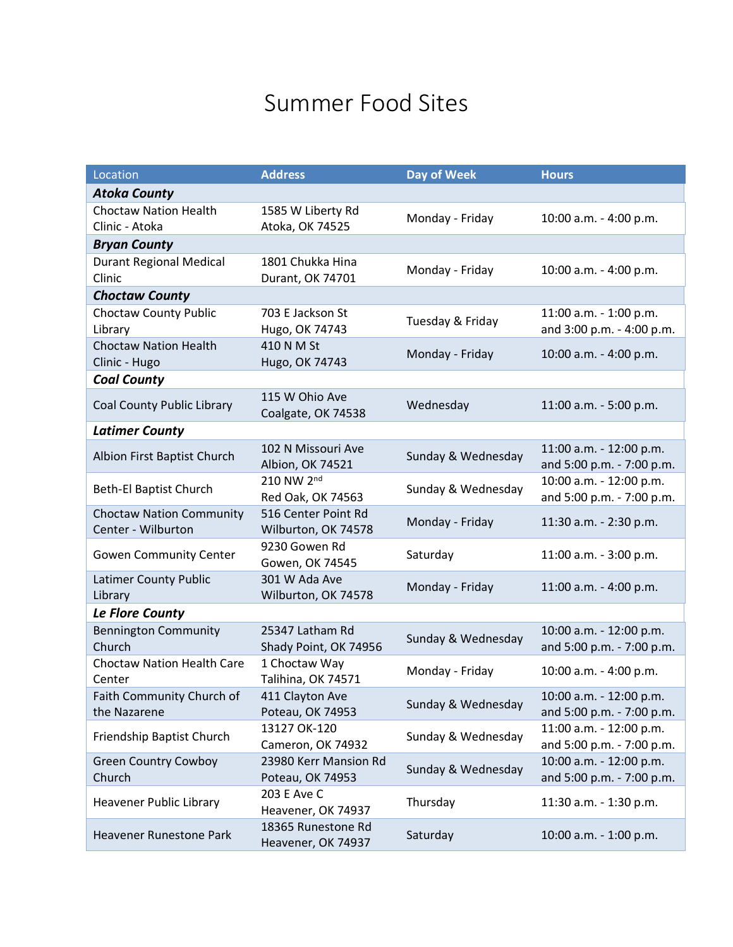## Summer Food Sites

| Location                                              | <b>Address</b>                             | Day of Week        | <b>Hours</b>                                         |
|-------------------------------------------------------|--------------------------------------------|--------------------|------------------------------------------------------|
| <b>Atoka County</b>                                   |                                            |                    |                                                      |
| <b>Choctaw Nation Health</b><br>Clinic - Atoka        | 1585 W Liberty Rd<br>Atoka, OK 74525       | Monday - Friday    | 10:00 a.m. - 4:00 p.m.                               |
| <b>Bryan County</b>                                   |                                            |                    |                                                      |
| <b>Durant Regional Medical</b><br>Clinic              | 1801 Chukka Hina<br>Durant, OK 74701       | Monday - Friday    | 10:00 a.m. - 4:00 p.m.                               |
| <b>Choctaw County</b>                                 |                                            |                    |                                                      |
| <b>Choctaw County Public</b><br>Library               | 703 E Jackson St<br>Hugo, OK 74743         | Tuesday & Friday   | 11:00 a.m. - 1:00 p.m.<br>and 3:00 p.m. - 4:00 p.m.  |
| <b>Choctaw Nation Health</b><br>Clinic - Hugo         | 410 N M St<br>Hugo, OK 74743               | Monday - Friday    | 10:00 a.m. - 4:00 p.m.                               |
| <b>Coal County</b>                                    |                                            |                    |                                                      |
| <b>Coal County Public Library</b>                     | 115 W Ohio Ave<br>Coalgate, OK 74538       | Wednesday          | 11:00 a.m. - 5:00 p.m.                               |
| <b>Latimer County</b>                                 |                                            |                    |                                                      |
| Albion First Baptist Church                           | 102 N Missouri Ave<br>Albion, OK 74521     | Sunday & Wednesday | 11:00 a.m. - 12:00 p.m.<br>and 5:00 p.m. - 7:00 p.m. |
| <b>Beth-El Baptist Church</b>                         | 210 NW 2nd<br>Red Oak, OK 74563            | Sunday & Wednesday | 10:00 a.m. - 12:00 p.m.<br>and 5:00 p.m. - 7:00 p.m. |
| <b>Choctaw Nation Community</b><br>Center - Wilburton | 516 Center Point Rd<br>Wilburton, OK 74578 | Monday - Friday    | 11:30 a.m. - 2:30 p.m.                               |
| <b>Gowen Community Center</b>                         | 9230 Gowen Rd<br>Gowen, OK 74545           | Saturday           | 11:00 a.m. - 3:00 p.m.                               |
| Latimer County Public<br>Library                      | 301 W Ada Ave<br>Wilburton, OK 74578       | Monday - Friday    | 11:00 a.m. - 4:00 p.m.                               |
| Le Flore County                                       |                                            |                    |                                                      |
| <b>Bennington Community</b><br>Church                 | 25347 Latham Rd<br>Shady Point, OK 74956   | Sunday & Wednesday | 10:00 a.m. - 12:00 p.m.<br>and 5:00 p.m. - 7:00 p.m. |
| <b>Choctaw Nation Health Care</b><br>Center           | 1 Choctaw Way<br>Talihina, OK 74571        | Monday - Friday    | 10:00 a.m. - 4:00 p.m.                               |
| Faith Community Church of<br>the Nazarene             | 411 Clayton Ave<br>Poteau, OK 74953        | Sunday & Wednesday | 10:00 a.m. - 12:00 p.m.<br>and 5:00 p.m. - 7:00 p.m. |
| Friendship Baptist Church                             | 13127 OK-120<br>Cameron, OK 74932          | Sunday & Wednesday | 11:00 a.m. - 12:00 p.m.<br>and 5:00 p.m. - 7:00 p.m. |
| <b>Green Country Cowboy</b><br>Church                 | 23980 Kerr Mansion Rd<br>Poteau, OK 74953  | Sunday & Wednesday | 10:00 a.m. - 12:00 p.m.<br>and 5:00 p.m. - 7:00 p.m. |
| Heavener Public Library                               | 203 E Ave C<br>Heavener, OK 74937          | Thursday           | 11:30 a.m. - 1:30 p.m.                               |
| <b>Heavener Runestone Park</b>                        | 18365 Runestone Rd<br>Heavener, OK 74937   | Saturday           | 10:00 a.m. - 1:00 p.m.                               |